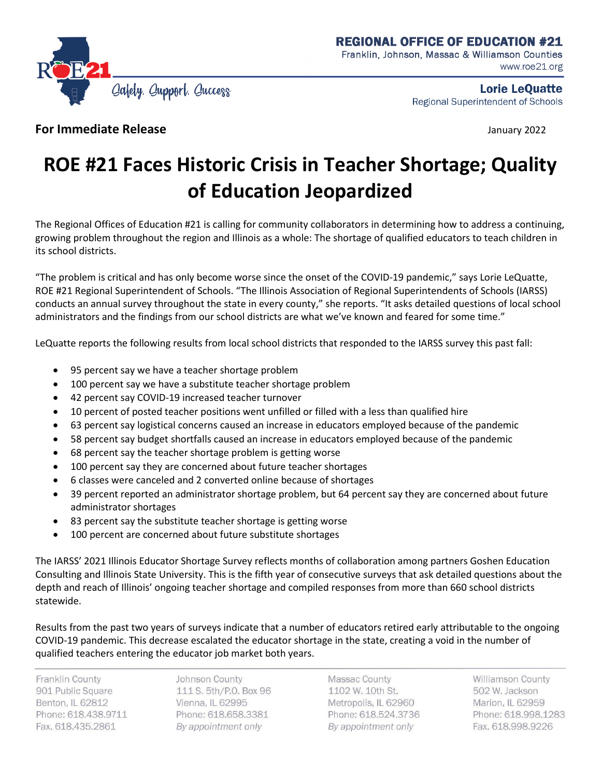

Lorie LeQuatte Regional Superintendent of Schools

**For Immediate Release** *January 2022* 

## **ROE #21 Faces Historic Crisis in Teacher Shortage; Quality of Education Jeopardized**

The Regional Offices of Education #21 is calling for community collaborators in determining how to address a continuing, growing problem throughout the region and Illinois as a whole: The shortage of qualified educators to teach children in its school districts.

"The problem is critical and has only become worse since the onset of the COVID-19 pandemic," says Lorie LeQuatte, ROE #21 Regional Superintendent of Schools. "The Illinois Association of Regional Superintendents of Schools (IARSS) conducts an annual survey throughout the state in every county," she reports. "It asks detailed questions of local school administrators and the findings from our school districts are what we've known and feared for some time."

LeQuatte reports the following results from local school districts that responded to the IARSS survey this past fall:

- 95 percent say we have a teacher shortage problem
- 100 percent say we have a substitute teacher shortage problem
- 42 percent say COVID-19 increased teacher turnover
- 10 percent of posted teacher positions went unfilled or filled with a less than qualified hire
- 63 percent say logistical concerns caused an increase in educators employed because of the pandemic
- 58 percent say budget shortfalls caused an increase in educators employed because of the pandemic
- 68 percent say the teacher shortage problem is getting worse
- 100 percent say they are concerned about future teacher shortages
- 6 classes were canceled and 2 converted online because of shortages
- 39 percent reported an administrator shortage problem, but 64 percent say they are concerned about future administrator shortages
- 83 percent say the substitute teacher shortage is getting worse
- 100 percent are concerned about future substitute shortages

The IARSS' 2021 Illinois Educator Shortage Survey reflects months of collaboration among partners Goshen Education Consulting and Illinois State University. This is the fifth year of consecutive surveys that ask detailed questions about the depth and reach of Illinois' ongoing teacher shortage and compiled responses from more than 660 school districts statewide.

Results from the past two years of surveys indicate that a number of educators retired early attributable to the ongoing COVID-19 pandemic. This decrease escalated the educator shortage in the state, creating a void in the number of qualified teachers entering the educator job market both years.

Franklin County 901 Public Square Benton, IL 62812 Phone: 618.438.9711 Fax. 618.435.2861

Johnson County 111 S. 5th/P.O. Box 96 Vienna, IL 62995 Phone: 618.658.3381 By appointment only

Massac County 1102 W. 10th St. Metropolis, IL 62960 Phone: 618.524.3736 By appointment only

Williamson County 502 W. Jackson Marion, IL 62959 Phone: 618.998.1283 Fax. 618.998.9226